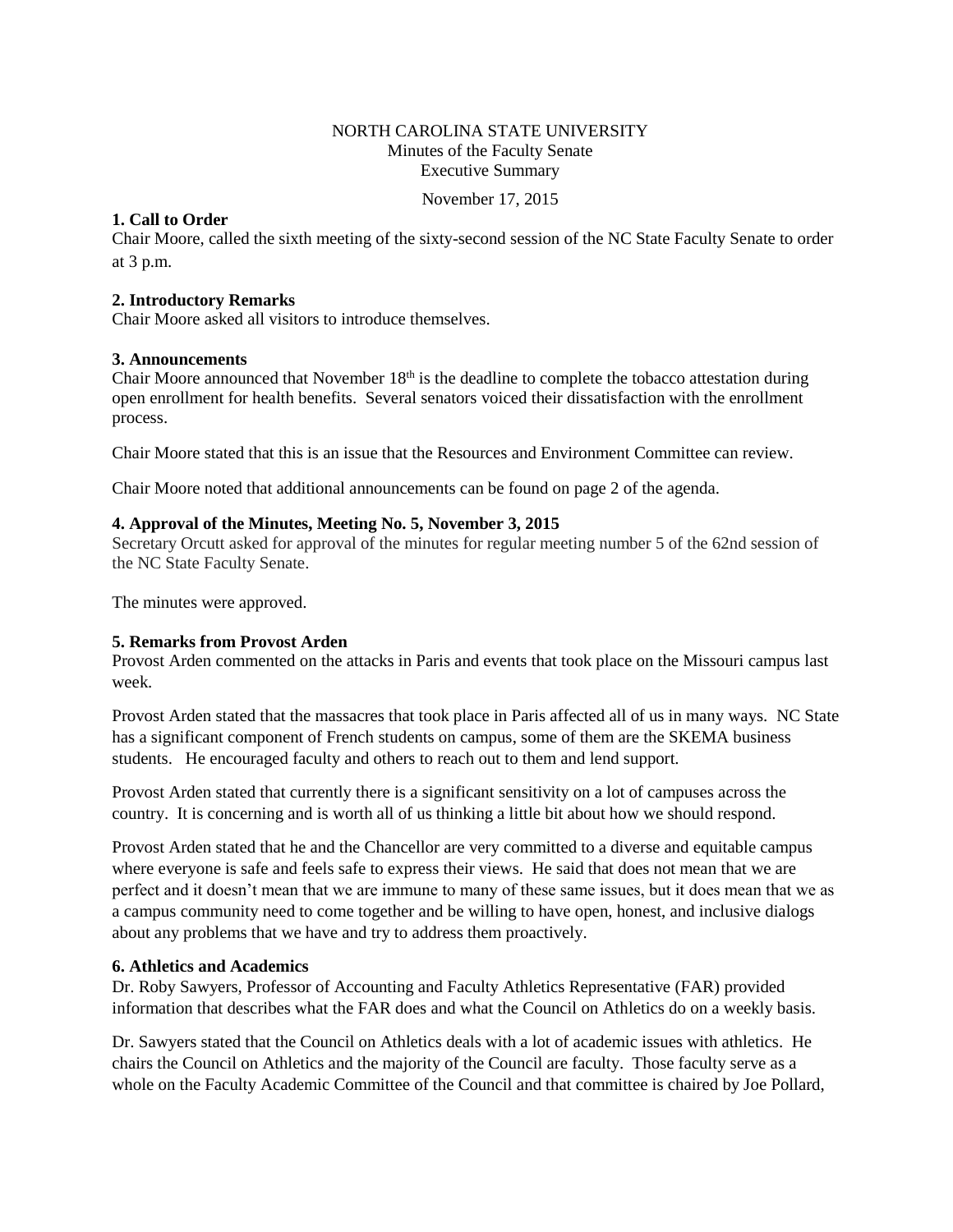## NORTH CAROLINA STATE UNIVERSITY Minutes of the Faculty Senate Executive Summary

November 17, 2015

## **1. Call to Order**

Chair Moore, called the sixth meeting of the sixty-second session of the NC State Faculty Senate to order at 3 p.m.

## **2. Introductory Remarks**

Chair Moore asked all visitors to introduce themselves.

## **3. Announcements**

Chair Moore announced that November  $18<sup>th</sup>$  is the deadline to complete the tobacco attestation during open enrollment for health benefits. Several senators voiced their dissatisfaction with the enrollment process.

Chair Moore stated that this is an issue that the Resources and Environment Committee can review.

Chair Moore noted that additional announcements can be found on page 2 of the agenda.

## **4. Approval of the Minutes, Meeting No. 5, November 3, 2015**

Secretary Orcutt asked for approval of the minutes for regular meeting number 5 of the 62nd session of the NC State Faculty Senate.

The minutes were approved.

## **5. Remarks from Provost Arden**

Provost Arden commented on the attacks in Paris and events that took place on the Missouri campus last week.

Provost Arden stated that the massacres that took place in Paris affected all of us in many ways. NC State has a significant component of French students on campus, some of them are the SKEMA business students. He encouraged faculty and others to reach out to them and lend support.

Provost Arden stated that currently there is a significant sensitivity on a lot of campuses across the country. It is concerning and is worth all of us thinking a little bit about how we should respond.

Provost Arden stated that he and the Chancellor are very committed to a diverse and equitable campus where everyone is safe and feels safe to express their views. He said that does not mean that we are perfect and it doesn't mean that we are immune to many of these same issues, but it does mean that we as a campus community need to come together and be willing to have open, honest, and inclusive dialogs about any problems that we have and try to address them proactively.

## **6. Athletics and Academics**

Dr. Roby Sawyers, Professor of Accounting and Faculty Athletics Representative (FAR) provided information that describes what the FAR does and what the Council on Athletics do on a weekly basis.

Dr. Sawyers stated that the Council on Athletics deals with a lot of academic issues with athletics. He chairs the Council on Athletics and the majority of the Council are faculty. Those faculty serve as a whole on the Faculty Academic Committee of the Council and that committee is chaired by Joe Pollard,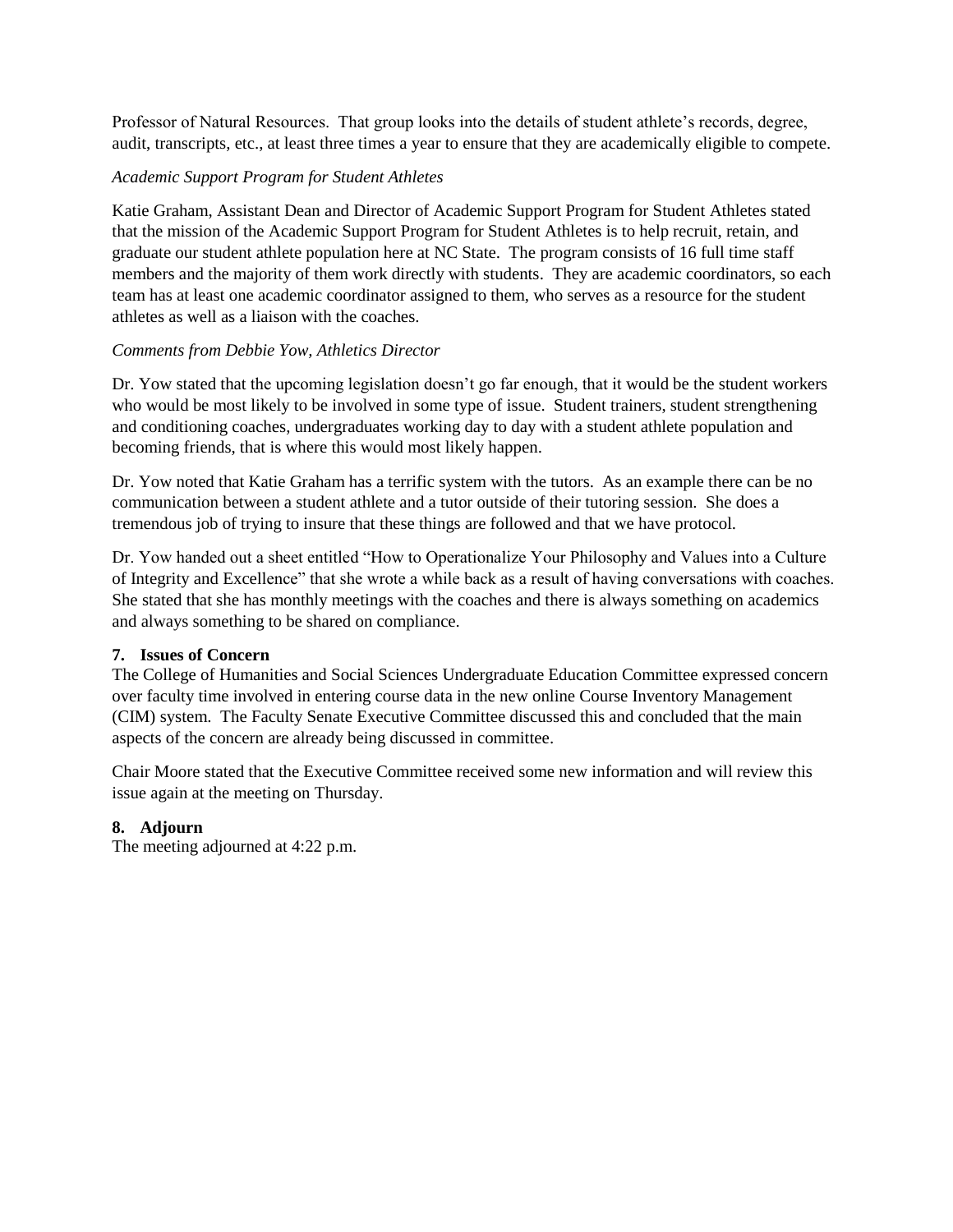Professor of Natural Resources. That group looks into the details of student athlete's records, degree, audit, transcripts, etc., at least three times a year to ensure that they are academically eligible to compete.

# *Academic Support Program for Student Athletes*

Katie Graham, Assistant Dean and Director of Academic Support Program for Student Athletes stated that the mission of the Academic Support Program for Student Athletes is to help recruit, retain, and graduate our student athlete population here at NC State. The program consists of 16 full time staff members and the majority of them work directly with students. They are academic coordinators, so each team has at least one academic coordinator assigned to them, who serves as a resource for the student athletes as well as a liaison with the coaches.

# *Comments from Debbie Yow, Athletics Director*

Dr. Yow stated that the upcoming legislation doesn't go far enough, that it would be the student workers who would be most likely to be involved in some type of issue. Student trainers, student strengthening and conditioning coaches, undergraduates working day to day with a student athlete population and becoming friends, that is where this would most likely happen.

Dr. Yow noted that Katie Graham has a terrific system with the tutors. As an example there can be no communication between a student athlete and a tutor outside of their tutoring session. She does a tremendous job of trying to insure that these things are followed and that we have protocol.

Dr. Yow handed out a sheet entitled "How to Operationalize Your Philosophy and Values into a Culture of Integrity and Excellence" that she wrote a while back as a result of having conversations with coaches. She stated that she has monthly meetings with the coaches and there is always something on academics and always something to be shared on compliance.

## **7. Issues of Concern**

The College of Humanities and Social Sciences Undergraduate Education Committee expressed concern over faculty time involved in entering course data in the new online Course Inventory Management (CIM) system. The Faculty Senate Executive Committee discussed this and concluded that the main aspects of the concern are already being discussed in committee.

Chair Moore stated that the Executive Committee received some new information and will review this issue again at the meeting on Thursday.

# **8. Adjourn**

The meeting adjourned at 4:22 p.m.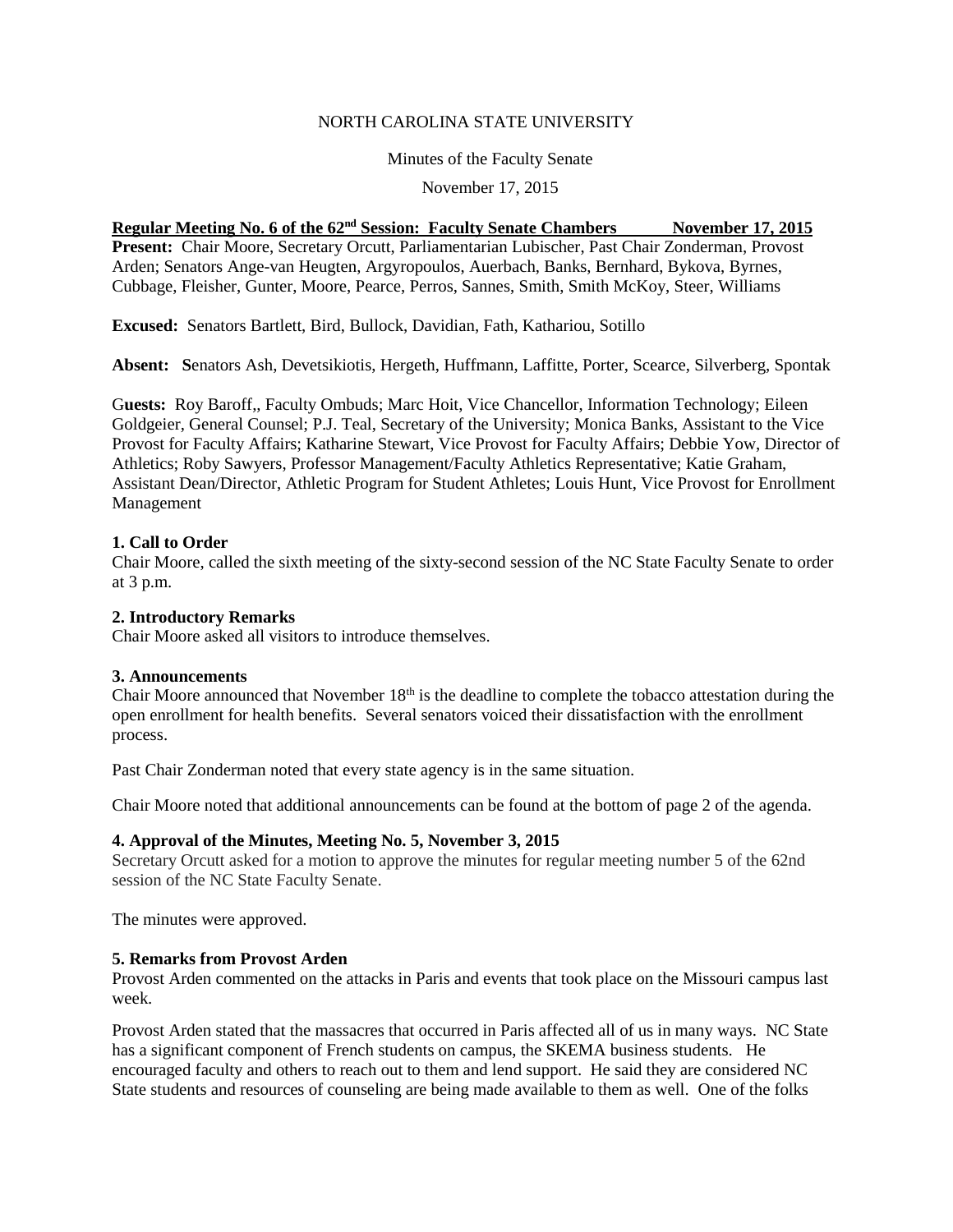#### NORTH CAROLINA STATE UNIVERSITY

Minutes of the Faculty Senate

November 17, 2015

## **Regular Meeting No. 6 of the 62nd Session: Faculty Senate Chambers November 17, 2015**

**Present:** Chair Moore, Secretary Orcutt, Parliamentarian Lubischer, Past Chair Zonderman, Provost Arden; Senators Ange-van Heugten, Argyropoulos, Auerbach, Banks, Bernhard, Bykova, Byrnes, Cubbage, Fleisher, Gunter, Moore, Pearce, Perros, Sannes, Smith, Smith McKoy, Steer, Williams

**Excused:** Senators Bartlett, Bird, Bullock, Davidian, Fath, Kathariou, Sotillo

**Absent: S**enators Ash, Devetsikiotis, Hergeth, Huffmann, Laffitte, Porter, Scearce, Silverberg, Spontak

G**uests:** Roy Baroff,, Faculty Ombuds; Marc Hoit, Vice Chancellor, Information Technology; Eileen Goldgeier, General Counsel; P.J. Teal, Secretary of the University; Monica Banks, Assistant to the Vice Provost for Faculty Affairs; Katharine Stewart, Vice Provost for Faculty Affairs; Debbie Yow, Director of Athletics; Roby Sawyers, Professor Management/Faculty Athletics Representative; Katie Graham, Assistant Dean/Director, Athletic Program for Student Athletes; Louis Hunt, Vice Provost for Enrollment Management

# **1. Call to Order**

Chair Moore, called the sixth meeting of the sixty-second session of the NC State Faculty Senate to order at 3 p.m.

## **2. Introductory Remarks**

Chair Moore asked all visitors to introduce themselves.

## **3. Announcements**

Chair Moore announced that November  $18<sup>th</sup>$  is the deadline to complete the tobacco attestation during the open enrollment for health benefits. Several senators voiced their dissatisfaction with the enrollment process.

Past Chair Zonderman noted that every state agency is in the same situation.

Chair Moore noted that additional announcements can be found at the bottom of page 2 of the agenda.

## **4. Approval of the Minutes, Meeting No. 5, November 3, 2015**

Secretary Orcutt asked for a motion to approve the minutes for regular meeting number 5 of the 62nd session of the NC State Faculty Senate.

The minutes were approved.

## **5. Remarks from Provost Arden**

Provost Arden commented on the attacks in Paris and events that took place on the Missouri campus last week.

Provost Arden stated that the massacres that occurred in Paris affected all of us in many ways. NC State has a significant component of French students on campus, the SKEMA business students. He encouraged faculty and others to reach out to them and lend support. He said they are considered NC State students and resources of counseling are being made available to them as well. One of the folks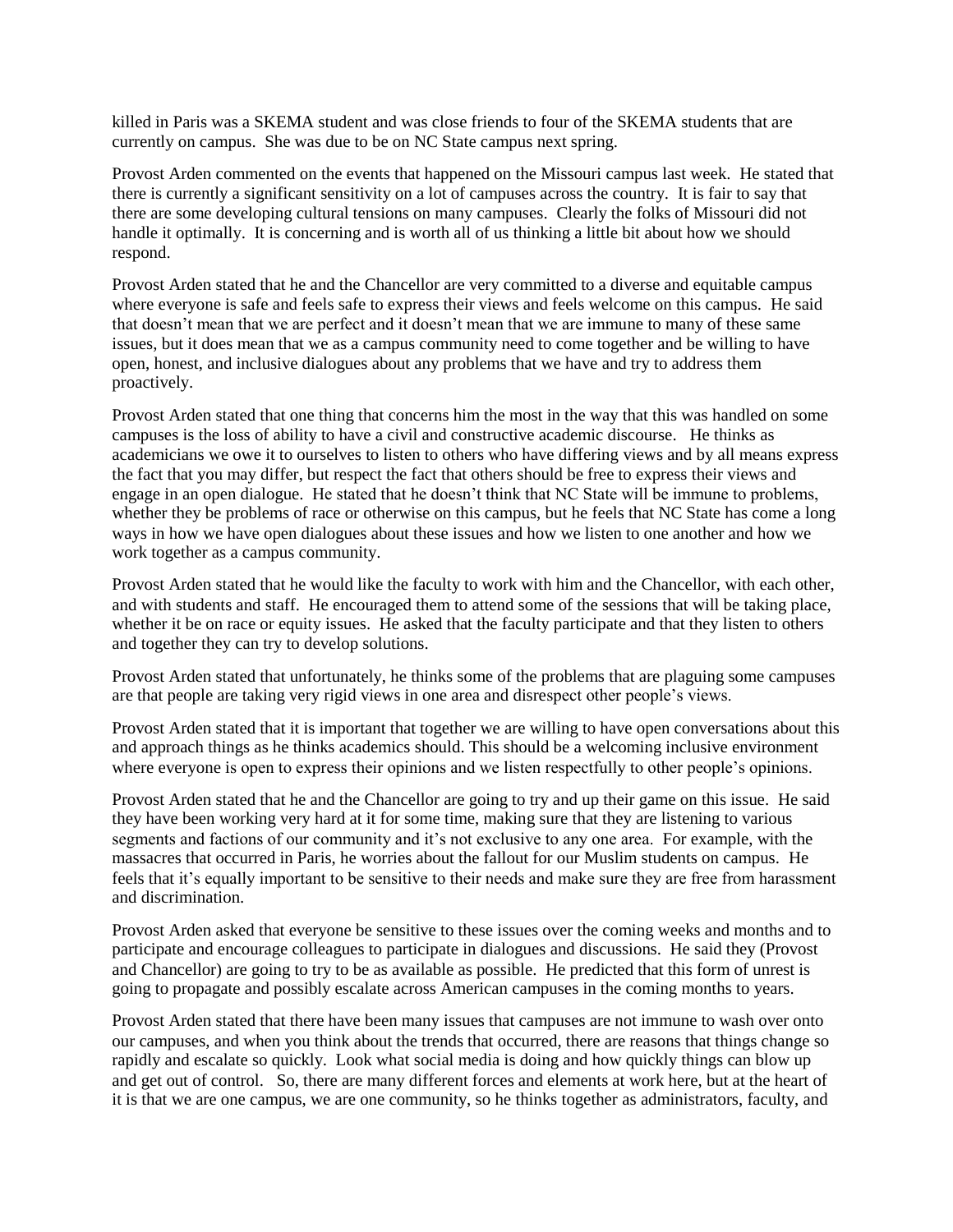killed in Paris was a SKEMA student and was close friends to four of the SKEMA students that are currently on campus. She was due to be on NC State campus next spring.

Provost Arden commented on the events that happened on the Missouri campus last week. He stated that there is currently a significant sensitivity on a lot of campuses across the country. It is fair to say that there are some developing cultural tensions on many campuses. Clearly the folks of Missouri did not handle it optimally. It is concerning and is worth all of us thinking a little bit about how we should respond.

Provost Arden stated that he and the Chancellor are very committed to a diverse and equitable campus where everyone is safe and feels safe to express their views and feels welcome on this campus. He said that doesn't mean that we are perfect and it doesn't mean that we are immune to many of these same issues, but it does mean that we as a campus community need to come together and be willing to have open, honest, and inclusive dialogues about any problems that we have and try to address them proactively.

Provost Arden stated that one thing that concerns him the most in the way that this was handled on some campuses is the loss of ability to have a civil and constructive academic discourse. He thinks as academicians we owe it to ourselves to listen to others who have differing views and by all means express the fact that you may differ, but respect the fact that others should be free to express their views and engage in an open dialogue. He stated that he doesn't think that NC State will be immune to problems, whether they be problems of race or otherwise on this campus, but he feels that NC State has come a long ways in how we have open dialogues about these issues and how we listen to one another and how we work together as a campus community.

Provost Arden stated that he would like the faculty to work with him and the Chancellor, with each other, and with students and staff. He encouraged them to attend some of the sessions that will be taking place, whether it be on race or equity issues. He asked that the faculty participate and that they listen to others and together they can try to develop solutions.

Provost Arden stated that unfortunately, he thinks some of the problems that are plaguing some campuses are that people are taking very rigid views in one area and disrespect other people's views.

Provost Arden stated that it is important that together we are willing to have open conversations about this and approach things as he thinks academics should. This should be a welcoming inclusive environment where everyone is open to express their opinions and we listen respectfully to other people's opinions.

Provost Arden stated that he and the Chancellor are going to try and up their game on this issue. He said they have been working very hard at it for some time, making sure that they are listening to various segments and factions of our community and it's not exclusive to any one area. For example, with the massacres that occurred in Paris, he worries about the fallout for our Muslim students on campus. He feels that it's equally important to be sensitive to their needs and make sure they are free from harassment and discrimination.

Provost Arden asked that everyone be sensitive to these issues over the coming weeks and months and to participate and encourage colleagues to participate in dialogues and discussions. He said they (Provost and Chancellor) are going to try to be as available as possible. He predicted that this form of unrest is going to propagate and possibly escalate across American campuses in the coming months to years.

Provost Arden stated that there have been many issues that campuses are not immune to wash over onto our campuses, and when you think about the trends that occurred, there are reasons that things change so rapidly and escalate so quickly. Look what social media is doing and how quickly things can blow up and get out of control. So, there are many different forces and elements at work here, but at the heart of it is that we are one campus, we are one community, so he thinks together as administrators, faculty, and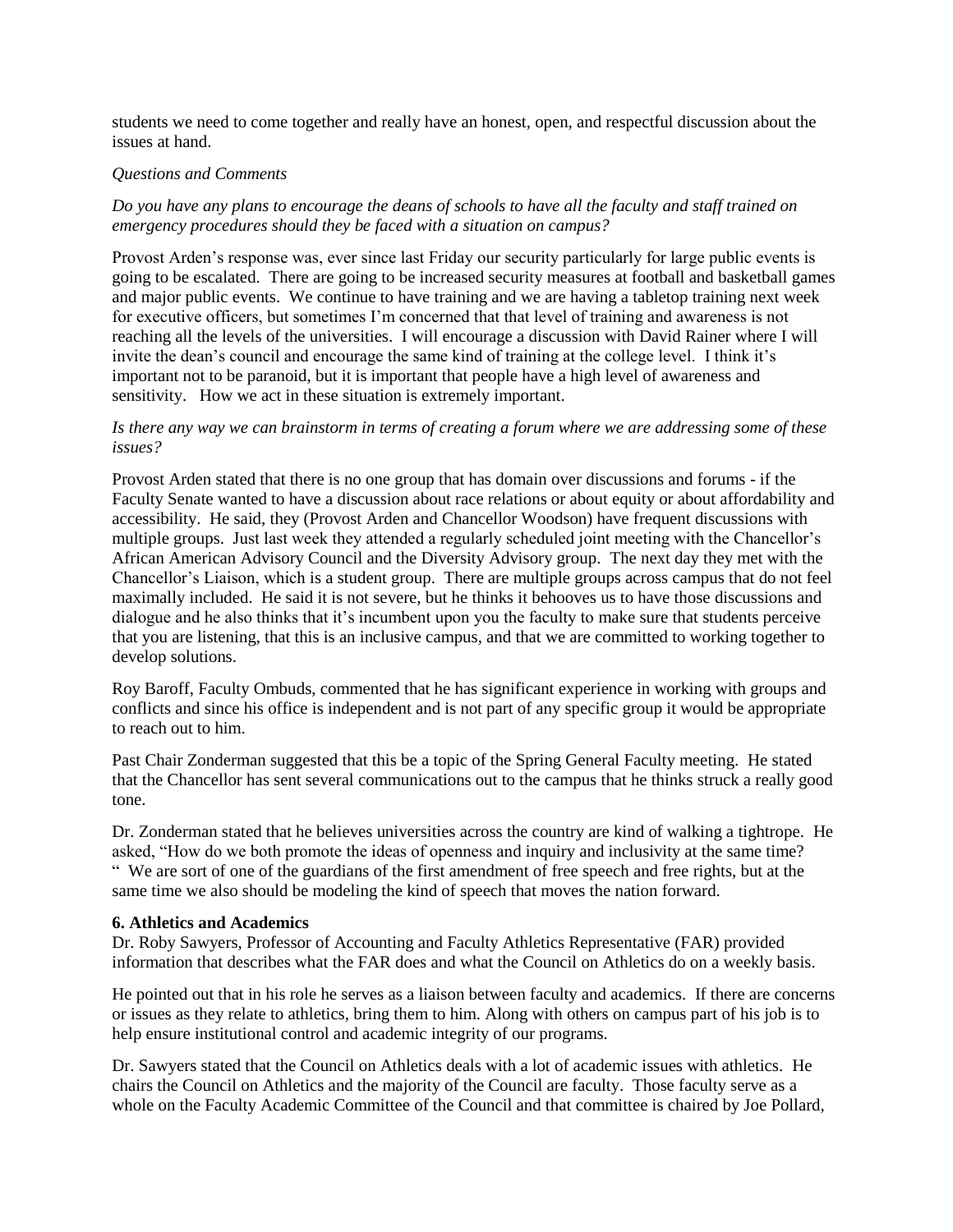students we need to come together and really have an honest, open, and respectful discussion about the issues at hand.

#### *Questions and Comments*

*Do you have any plans to encourage the deans of schools to have all the faculty and staff trained on emergency procedures should they be faced with a situation on campus?*

Provost Arden's response was, ever since last Friday our security particularly for large public events is going to be escalated. There are going to be increased security measures at football and basketball games and major public events. We continue to have training and we are having a tabletop training next week for executive officers, but sometimes I'm concerned that that level of training and awareness is not reaching all the levels of the universities. I will encourage a discussion with David Rainer where I will invite the dean's council and encourage the same kind of training at the college level. I think it's important not to be paranoid, but it is important that people have a high level of awareness and sensitivity. How we act in these situation is extremely important.

#### *Is there any way we can brainstorm in terms of creating a forum where we are addressing some of these issues?*

Provost Arden stated that there is no one group that has domain over discussions and forums - if the Faculty Senate wanted to have a discussion about race relations or about equity or about affordability and accessibility. He said, they (Provost Arden and Chancellor Woodson) have frequent discussions with multiple groups. Just last week they attended a regularly scheduled joint meeting with the Chancellor's African American Advisory Council and the Diversity Advisory group. The next day they met with the Chancellor's Liaison, which is a student group. There are multiple groups across campus that do not feel maximally included. He said it is not severe, but he thinks it behooves us to have those discussions and dialogue and he also thinks that it's incumbent upon you the faculty to make sure that students perceive that you are listening, that this is an inclusive campus, and that we are committed to working together to develop solutions.

Roy Baroff, Faculty Ombuds, commented that he has significant experience in working with groups and conflicts and since his office is independent and is not part of any specific group it would be appropriate to reach out to him.

Past Chair Zonderman suggested that this be a topic of the Spring General Faculty meeting. He stated that the Chancellor has sent several communications out to the campus that he thinks struck a really good tone.

Dr. Zonderman stated that he believes universities across the country are kind of walking a tightrope. He asked, "How do we both promote the ideas of openness and inquiry and inclusivity at the same time? " We are sort of one of the guardians of the first amendment of free speech and free rights, but at the same time we also should be modeling the kind of speech that moves the nation forward.

#### **6. Athletics and Academics**

Dr. Roby Sawyers, Professor of Accounting and Faculty Athletics Representative (FAR) provided information that describes what the FAR does and what the Council on Athletics do on a weekly basis.

He pointed out that in his role he serves as a liaison between faculty and academics. If there are concerns or issues as they relate to athletics, bring them to him. Along with others on campus part of his job is to help ensure institutional control and academic integrity of our programs.

Dr. Sawyers stated that the Council on Athletics deals with a lot of academic issues with athletics. He chairs the Council on Athletics and the majority of the Council are faculty. Those faculty serve as a whole on the Faculty Academic Committee of the Council and that committee is chaired by Joe Pollard,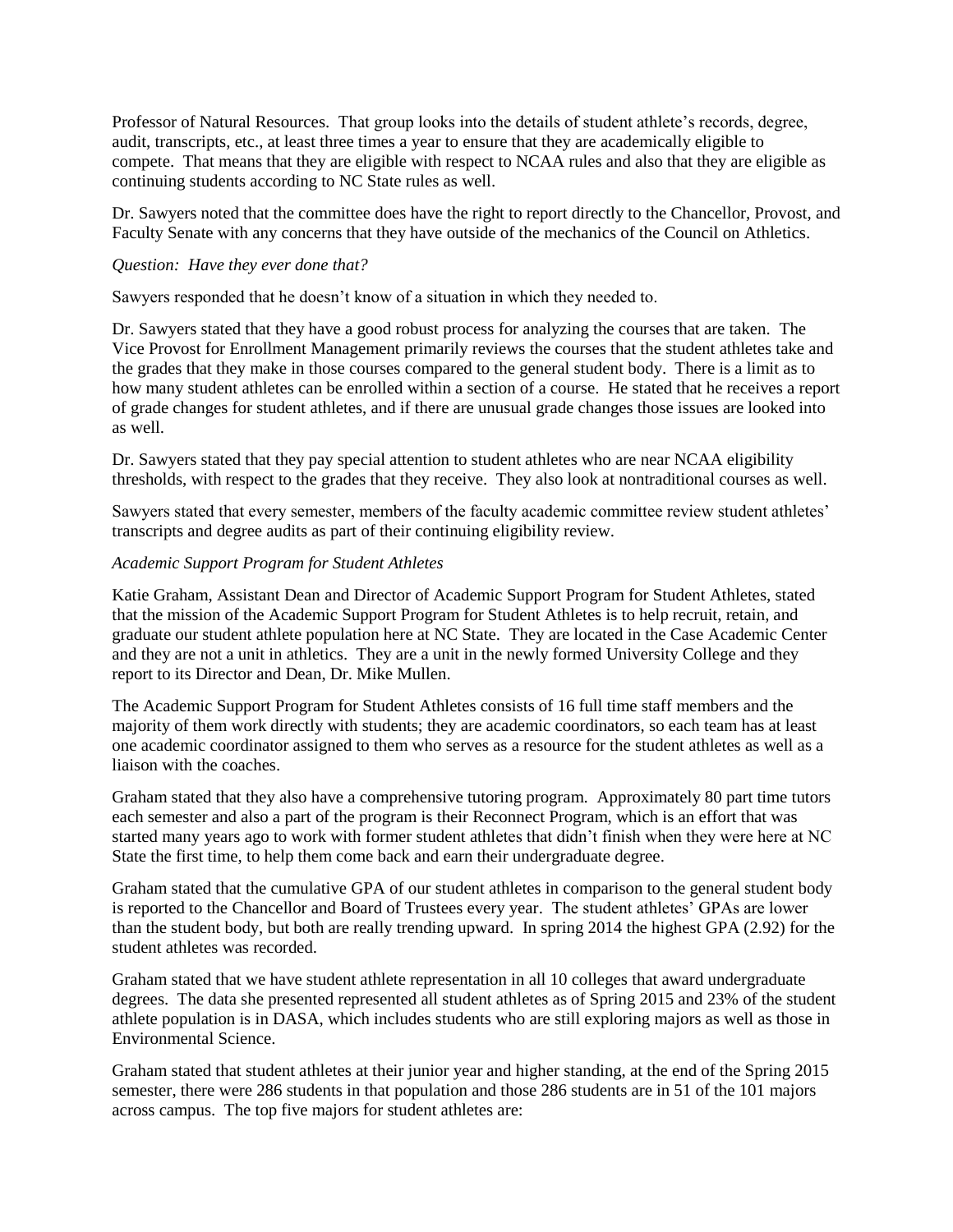Professor of Natural Resources. That group looks into the details of student athlete's records, degree, audit, transcripts, etc., at least three times a year to ensure that they are academically eligible to compete. That means that they are eligible with respect to NCAA rules and also that they are eligible as continuing students according to NC State rules as well.

Dr. Sawyers noted that the committee does have the right to report directly to the Chancellor, Provost, and Faculty Senate with any concerns that they have outside of the mechanics of the Council on Athletics.

#### *Question: Have they ever done that?*

Sawyers responded that he doesn't know of a situation in which they needed to.

Dr. Sawyers stated that they have a good robust process for analyzing the courses that are taken. The Vice Provost for Enrollment Management primarily reviews the courses that the student athletes take and the grades that they make in those courses compared to the general student body. There is a limit as to how many student athletes can be enrolled within a section of a course. He stated that he receives a report of grade changes for student athletes, and if there are unusual grade changes those issues are looked into as well.

Dr. Sawyers stated that they pay special attention to student athletes who are near NCAA eligibility thresholds, with respect to the grades that they receive. They also look at nontraditional courses as well.

Sawyers stated that every semester, members of the faculty academic committee review student athletes' transcripts and degree audits as part of their continuing eligibility review.

#### *Academic Support Program for Student Athletes*

Katie Graham, Assistant Dean and Director of Academic Support Program for Student Athletes, stated that the mission of the Academic Support Program for Student Athletes is to help recruit, retain, and graduate our student athlete population here at NC State. They are located in the Case Academic Center and they are not a unit in athletics. They are a unit in the newly formed University College and they report to its Director and Dean, Dr. Mike Mullen.

The Academic Support Program for Student Athletes consists of 16 full time staff members and the majority of them work directly with students; they are academic coordinators, so each team has at least one academic coordinator assigned to them who serves as a resource for the student athletes as well as a liaison with the coaches.

Graham stated that they also have a comprehensive tutoring program. Approximately 80 part time tutors each semester and also a part of the program is their Reconnect Program, which is an effort that was started many years ago to work with former student athletes that didn't finish when they were here at NC State the first time, to help them come back and earn their undergraduate degree.

Graham stated that the cumulative GPA of our student athletes in comparison to the general student body is reported to the Chancellor and Board of Trustees every year. The student athletes' GPAs are lower than the student body, but both are really trending upward. In spring 2014 the highest GPA (2.92) for the student athletes was recorded.

Graham stated that we have student athlete representation in all 10 colleges that award undergraduate degrees. The data she presented represented all student athletes as of Spring 2015 and 23% of the student athlete population is in DASA, which includes students who are still exploring majors as well as those in Environmental Science.

Graham stated that student athletes at their junior year and higher standing, at the end of the Spring 2015 semester, there were 286 students in that population and those 286 students are in 51 of the 101 majors across campus. The top five majors for student athletes are: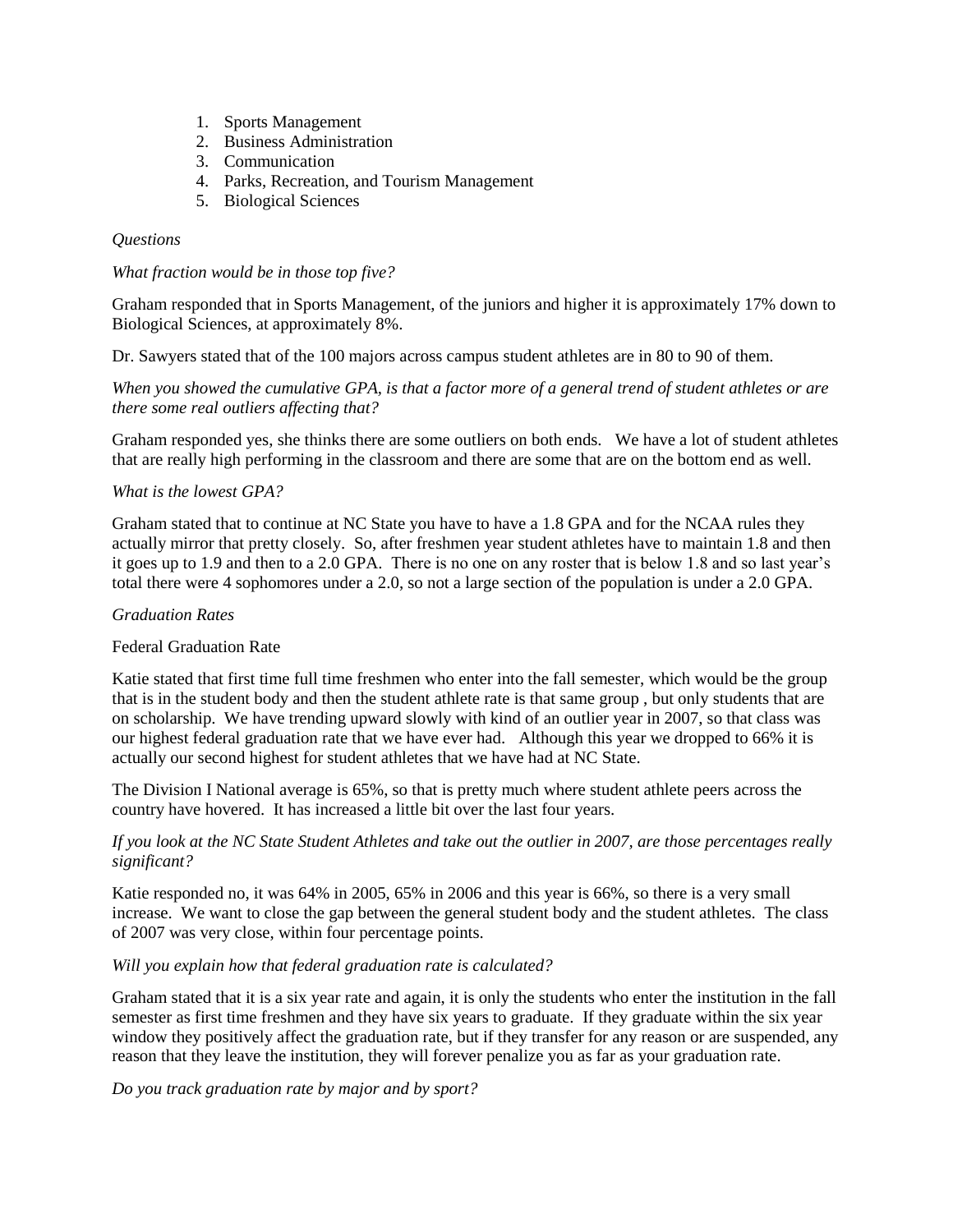- 1. Sports Management
- 2. Business Administration
- 3. Communication
- 4. Parks, Recreation, and Tourism Management
- 5. Biological Sciences

## *Questions*

#### *What fraction would be in those top five?*

Graham responded that in Sports Management, of the juniors and higher it is approximately 17% down to Biological Sciences, at approximately 8%.

Dr. Sawyers stated that of the 100 majors across campus student athletes are in 80 to 90 of them.

*When you showed the cumulative GPA, is that a factor more of a general trend of student athletes or are there some real outliers affecting that?*

Graham responded yes, she thinks there are some outliers on both ends. We have a lot of student athletes that are really high performing in the classroom and there are some that are on the bottom end as well.

## *What is the lowest GPA?*

Graham stated that to continue at NC State you have to have a 1.8 GPA and for the NCAA rules they actually mirror that pretty closely. So, after freshmen year student athletes have to maintain 1.8 and then it goes up to 1.9 and then to a 2.0 GPA. There is no one on any roster that is below 1.8 and so last year's total there were 4 sophomores under a 2.0, so not a large section of the population is under a 2.0 GPA.

#### *Graduation Rates*

## Federal Graduation Rate

Katie stated that first time full time freshmen who enter into the fall semester, which would be the group that is in the student body and then the student athlete rate is that same group , but only students that are on scholarship. We have trending upward slowly with kind of an outlier year in 2007, so that class was our highest federal graduation rate that we have ever had. Although this year we dropped to 66% it is actually our second highest for student athletes that we have had at NC State.

The Division I National average is 65%, so that is pretty much where student athlete peers across the country have hovered. It has increased a little bit over the last four years.

## *If you look at the NC State Student Athletes and take out the outlier in 2007, are those percentages really significant?*

Katie responded no, it was 64% in 2005, 65% in 2006 and this year is 66%, so there is a very small increase. We want to close the gap between the general student body and the student athletes. The class of 2007 was very close, within four percentage points.

## *Will you explain how that federal graduation rate is calculated?*

Graham stated that it is a six year rate and again, it is only the students who enter the institution in the fall semester as first time freshmen and they have six years to graduate. If they graduate within the six year window they positively affect the graduation rate, but if they transfer for any reason or are suspended, any reason that they leave the institution, they will forever penalize you as far as your graduation rate.

*Do you track graduation rate by major and by sport?*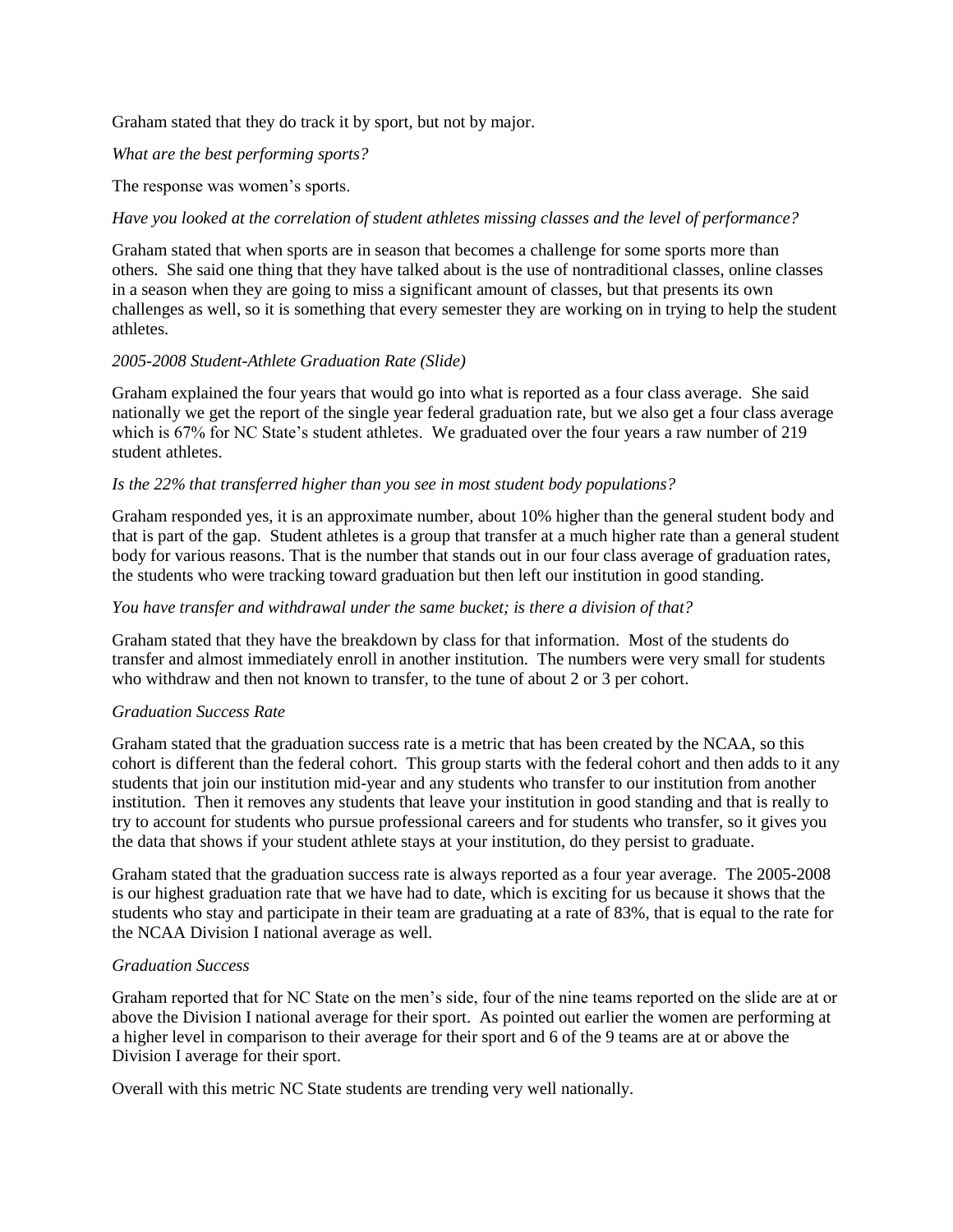Graham stated that they do track it by sport, but not by major.

*What are the best performing sports?*

The response was women's sports.

## *Have you looked at the correlation of student athletes missing classes and the level of performance?*

Graham stated that when sports are in season that becomes a challenge for some sports more than others. She said one thing that they have talked about is the use of nontraditional classes, online classes in a season when they are going to miss a significant amount of classes, but that presents its own challenges as well, so it is something that every semester they are working on in trying to help the student athletes.

## *2005-2008 Student-Athlete Graduation Rate (Slide)*

Graham explained the four years that would go into what is reported as a four class average. She said nationally we get the report of the single year federal graduation rate, but we also get a four class average which is 67% for NC State's student athletes. We graduated over the four years a raw number of 219 student athletes.

#### *Is the 22% that transferred higher than you see in most student body populations?*

Graham responded yes, it is an approximate number, about 10% higher than the general student body and that is part of the gap. Student athletes is a group that transfer at a much higher rate than a general student body for various reasons. That is the number that stands out in our four class average of graduation rates, the students who were tracking toward graduation but then left our institution in good standing.

#### *You have transfer and withdrawal under the same bucket; is there a division of that?*

Graham stated that they have the breakdown by class for that information. Most of the students do transfer and almost immediately enroll in another institution. The numbers were very small for students who withdraw and then not known to transfer, to the tune of about 2 or 3 per cohort.

#### *Graduation Success Rate*

Graham stated that the graduation success rate is a metric that has been created by the NCAA, so this cohort is different than the federal cohort. This group starts with the federal cohort and then adds to it any students that join our institution mid-year and any students who transfer to our institution from another institution. Then it removes any students that leave your institution in good standing and that is really to try to account for students who pursue professional careers and for students who transfer, so it gives you the data that shows if your student athlete stays at your institution, do they persist to graduate.

Graham stated that the graduation success rate is always reported as a four year average. The 2005-2008 is our highest graduation rate that we have had to date, which is exciting for us because it shows that the students who stay and participate in their team are graduating at a rate of 83%, that is equal to the rate for the NCAA Division I national average as well.

#### *Graduation Success*

Graham reported that for NC State on the men's side, four of the nine teams reported on the slide are at or above the Division I national average for their sport. As pointed out earlier the women are performing at a higher level in comparison to their average for their sport and 6 of the 9 teams are at or above the Division I average for their sport.

Overall with this metric NC State students are trending very well nationally.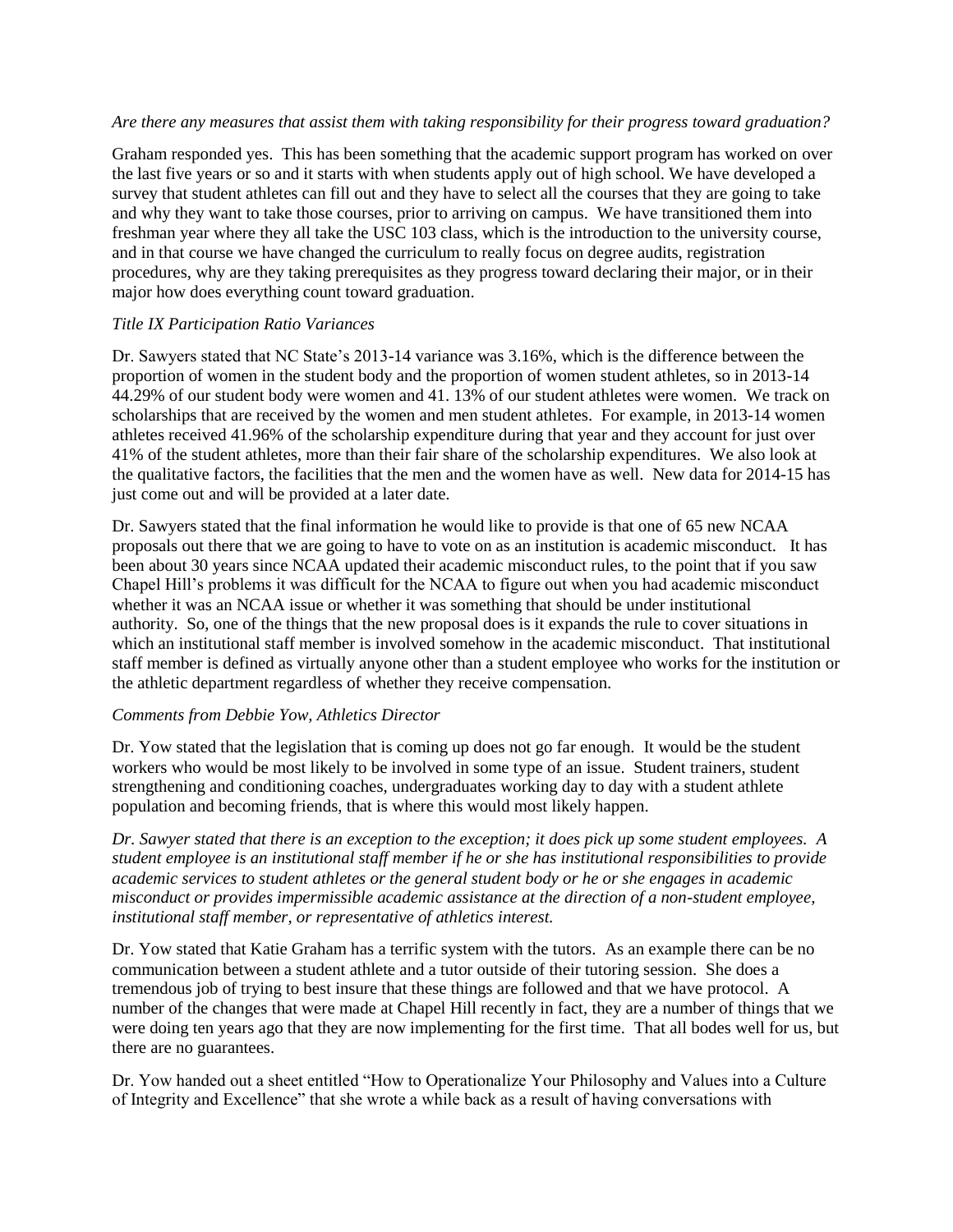#### *Are there any measures that assist them with taking responsibility for their progress toward graduation?*

Graham responded yes. This has been something that the academic support program has worked on over the last five years or so and it starts with when students apply out of high school. We have developed a survey that student athletes can fill out and they have to select all the courses that they are going to take and why they want to take those courses, prior to arriving on campus. We have transitioned them into freshman year where they all take the USC 103 class, which is the introduction to the university course, and in that course we have changed the curriculum to really focus on degree audits, registration procedures, why are they taking prerequisites as they progress toward declaring their major, or in their major how does everything count toward graduation.

## *Title IX Participation Ratio Variances*

Dr. Sawyers stated that NC State's 2013-14 variance was 3.16%, which is the difference between the proportion of women in the student body and the proportion of women student athletes, so in 2013-14 44.29% of our student body were women and 41. 13% of our student athletes were women. We track on scholarships that are received by the women and men student athletes. For example, in 2013-14 women athletes received 41.96% of the scholarship expenditure during that year and they account for just over 41% of the student athletes, more than their fair share of the scholarship expenditures. We also look at the qualitative factors, the facilities that the men and the women have as well. New data for 2014-15 has just come out and will be provided at a later date.

Dr. Sawyers stated that the final information he would like to provide is that one of 65 new NCAA proposals out there that we are going to have to vote on as an institution is academic misconduct. It has been about 30 years since NCAA updated their academic misconduct rules, to the point that if you saw Chapel Hill's problems it was difficult for the NCAA to figure out when you had academic misconduct whether it was an NCAA issue or whether it was something that should be under institutional authority. So, one of the things that the new proposal does is it expands the rule to cover situations in which an institutional staff member is involved somehow in the academic misconduct. That institutional staff member is defined as virtually anyone other than a student employee who works for the institution or the athletic department regardless of whether they receive compensation.

## *Comments from Debbie Yow, Athletics Director*

Dr. Yow stated that the legislation that is coming up does not go far enough. It would be the student workers who would be most likely to be involved in some type of an issue. Student trainers, student strengthening and conditioning coaches, undergraduates working day to day with a student athlete population and becoming friends, that is where this would most likely happen.

*Dr. Sawyer stated that there is an exception to the exception; it does pick up some student employees. A student employee is an institutional staff member if he or she has institutional responsibilities to provide academic services to student athletes or the general student body or he or she engages in academic misconduct or provides impermissible academic assistance at the direction of a non-student employee, institutional staff member, or representative of athletics interest.* 

Dr. Yow stated that Katie Graham has a terrific system with the tutors. As an example there can be no communication between a student athlete and a tutor outside of their tutoring session. She does a tremendous job of trying to best insure that these things are followed and that we have protocol. A number of the changes that were made at Chapel Hill recently in fact, they are a number of things that we were doing ten years ago that they are now implementing for the first time. That all bodes well for us, but there are no guarantees.

Dr. Yow handed out a sheet entitled "How to Operationalize Your Philosophy and Values into a Culture of Integrity and Excellence" that she wrote a while back as a result of having conversations with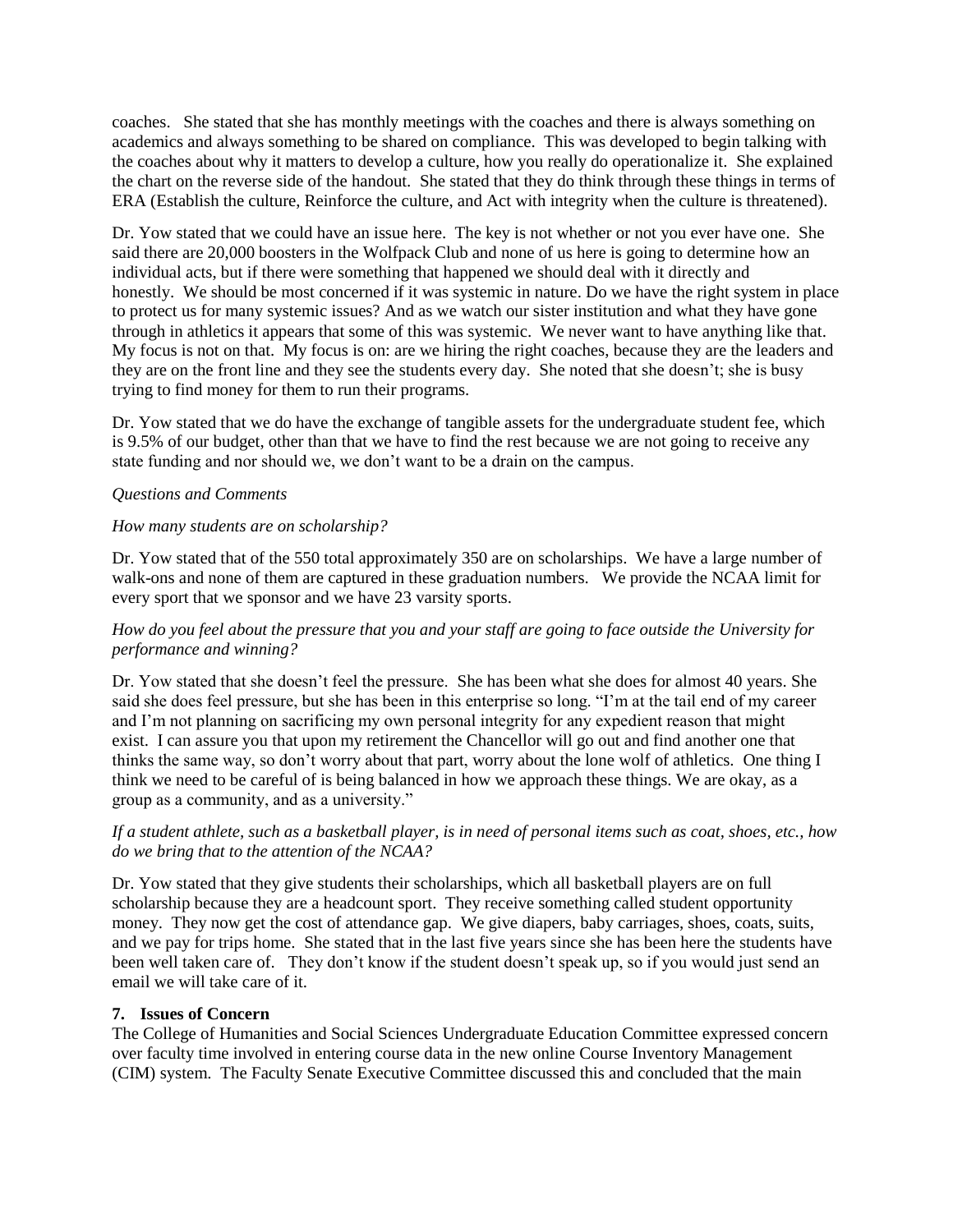coaches. She stated that she has monthly meetings with the coaches and there is always something on academics and always something to be shared on compliance. This was developed to begin talking with the coaches about why it matters to develop a culture, how you really do operationalize it. She explained the chart on the reverse side of the handout. She stated that they do think through these things in terms of ERA (Establish the culture, Reinforce the culture, and Act with integrity when the culture is threatened).

Dr. Yow stated that we could have an issue here. The key is not whether or not you ever have one. She said there are 20,000 boosters in the Wolfpack Club and none of us here is going to determine how an individual acts, but if there were something that happened we should deal with it directly and honestly. We should be most concerned if it was systemic in nature. Do we have the right system in place to protect us for many systemic issues? And as we watch our sister institution and what they have gone through in athletics it appears that some of this was systemic. We never want to have anything like that. My focus is not on that. My focus is on: are we hiring the right coaches, because they are the leaders and they are on the front line and they see the students every day. She noted that she doesn't; she is busy trying to find money for them to run their programs.

Dr. Yow stated that we do have the exchange of tangible assets for the undergraduate student fee, which is 9.5% of our budget, other than that we have to find the rest because we are not going to receive any state funding and nor should we, we don't want to be a drain on the campus.

#### *Questions and Comments*

#### *How many students are on scholarship?*

Dr. Yow stated that of the 550 total approximately 350 are on scholarships. We have a large number of walk-ons and none of them are captured in these graduation numbers. We provide the NCAA limit for every sport that we sponsor and we have 23 varsity sports.

## *How do you feel about the pressure that you and your staff are going to face outside the University for performance and winning?*

Dr. Yow stated that she doesn't feel the pressure. She has been what she does for almost 40 years. She said she does feel pressure, but she has been in this enterprise so long. "I'm at the tail end of my career and I'm not planning on sacrificing my own personal integrity for any expedient reason that might exist. I can assure you that upon my retirement the Chancellor will go out and find another one that thinks the same way, so don't worry about that part, worry about the lone wolf of athletics. One thing I think we need to be careful of is being balanced in how we approach these things. We are okay, as a group as a community, and as a university."

#### *If a student athlete, such as a basketball player, is in need of personal items such as coat, shoes, etc., how do we bring that to the attention of the NCAA?*

Dr. Yow stated that they give students their scholarships, which all basketball players are on full scholarship because they are a headcount sport. They receive something called student opportunity money. They now get the cost of attendance gap. We give diapers, baby carriages, shoes, coats, suits, and we pay for trips home. She stated that in the last five years since she has been here the students have been well taken care of. They don't know if the student doesn't speak up, so if you would just send an email we will take care of it.

## **7. Issues of Concern**

The College of Humanities and Social Sciences Undergraduate Education Committee expressed concern over faculty time involved in entering course data in the new online Course Inventory Management (CIM) system. The Faculty Senate Executive Committee discussed this and concluded that the main